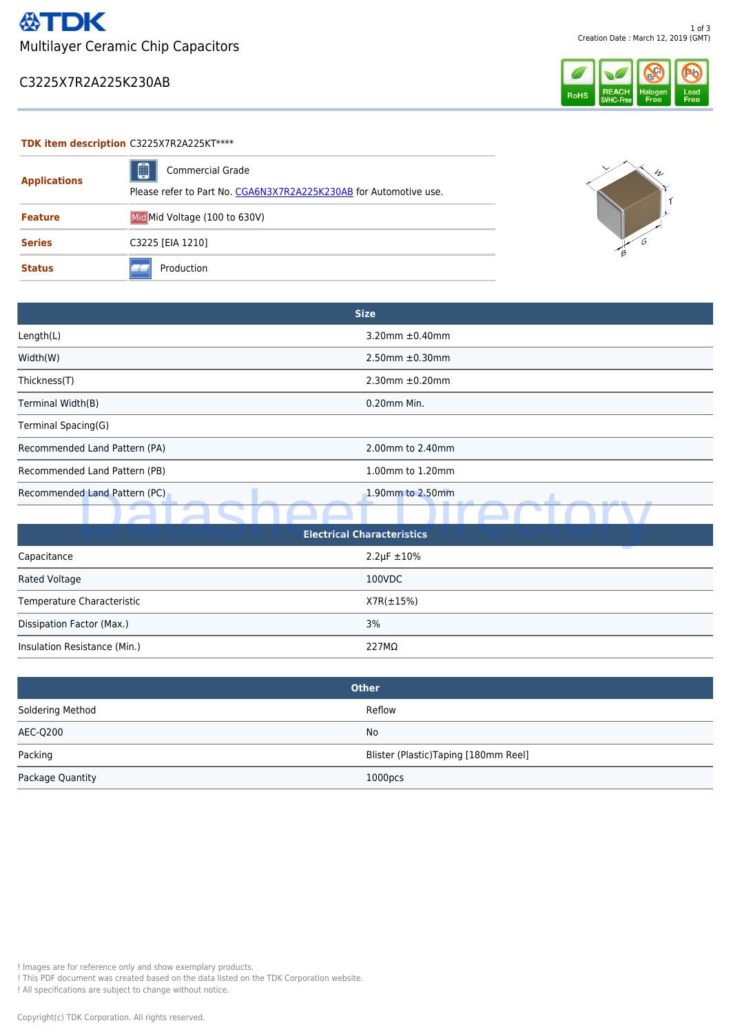### C3225X7R2A225K230AB



#### **TDK item description** C3225X7R2A225KT\*\*\*\*

| <b>Applications</b> | ▣<br><b>Commercial Grade</b>                                      | h |
|---------------------|-------------------------------------------------------------------|---|
|                     | Please refer to Part No. CGA6N3X7R2A225K230AB for Automotive use. |   |
| <b>Feature</b>      | Mid Mid Voltage (100 to 630V)                                     |   |
| <b>Series</b>       | C3225 [EIA 1210]                                                  |   |
| <b>Status</b>       | Production                                                        |   |

|                               | <b>Size</b>             |
|-------------------------------|-------------------------|
| Length(L)                     | 3.20mm $\pm$ 0.40mm     |
| Width(W)                      | $2.50$ mm $\pm 0.30$ mm |
| Thickness(T)                  | $2.30$ mm $\pm 0.20$ mm |
| Terminal Width(B)             | 0.20mm Min.             |
| Terminal Spacing(G)           |                         |
| Recommended Land Pattern (PA) | 2.00mm to 2.40mm        |
| Recommended Land Pattern (PB) | 1.00mm to 1.20mm        |
| Recommended Land Pattern (PC) | 1.90mm to 2.50mm<br>--  |
|                               |                         |

| Recommended Land Pattern (PC)                                                                                                                                                                                          | 1.90mm to 2.50mm                      |  |  |  |
|------------------------------------------------------------------------------------------------------------------------------------------------------------------------------------------------------------------------|---------------------------------------|--|--|--|
|                                                                                                                                                                                                                        |                                       |  |  |  |
| <b>Electrical Characteristics</b>                                                                                                                                                                                      |                                       |  |  |  |
| Capacitance                                                                                                                                                                                                            | $2.2 \mu F \pm 10\%$                  |  |  |  |
| Rated Voltage                                                                                                                                                                                                          | 100VDC                                |  |  |  |
| Temperature Characteristic                                                                                                                                                                                             | $X7R(\pm 15\%)$                       |  |  |  |
| Dissipation Factor (Max.)                                                                                                                                                                                              | 3%                                    |  |  |  |
| Insulation Resistance (Min.)                                                                                                                                                                                           | 227MΩ                                 |  |  |  |
|                                                                                                                                                                                                                        |                                       |  |  |  |
| <b>Other</b>                                                                                                                                                                                                           |                                       |  |  |  |
| Soldering Method                                                                                                                                                                                                       | Reflow                                |  |  |  |
| <b>AEC-Q200</b>                                                                                                                                                                                                        | No                                    |  |  |  |
| Packing                                                                                                                                                                                                                | Blister (Plastic) Taping [180mm Reel] |  |  |  |
| Package Quantity                                                                                                                                                                                                       | 1000pcs                               |  |  |  |
|                                                                                                                                                                                                                        |                                       |  |  |  |
|                                                                                                                                                                                                                        |                                       |  |  |  |
|                                                                                                                                                                                                                        |                                       |  |  |  |
|                                                                                                                                                                                                                        |                                       |  |  |  |
|                                                                                                                                                                                                                        |                                       |  |  |  |
|                                                                                                                                                                                                                        |                                       |  |  |  |
|                                                                                                                                                                                                                        |                                       |  |  |  |
|                                                                                                                                                                                                                        |                                       |  |  |  |
| ! Images are for reference only and show exemplary products.<br>! This PDF document was created based on the data listed on the TDK Corporation website.<br>! All specifications are subject to change without notice. |                                       |  |  |  |
| Copyright(c) TDK Corporation. All rights reserved.                                                                                                                                                                     |                                       |  |  |  |

| <b>Other</b>     |                                      |  |
|------------------|--------------------------------------|--|
| Soldering Method | Reflow                               |  |
| AEC-Q200         | No                                   |  |
| Packing          | Blister (Plastic)Taping [180mm Reel] |  |
| Package Quantity | 1000 <sub>DCS</sub>                  |  |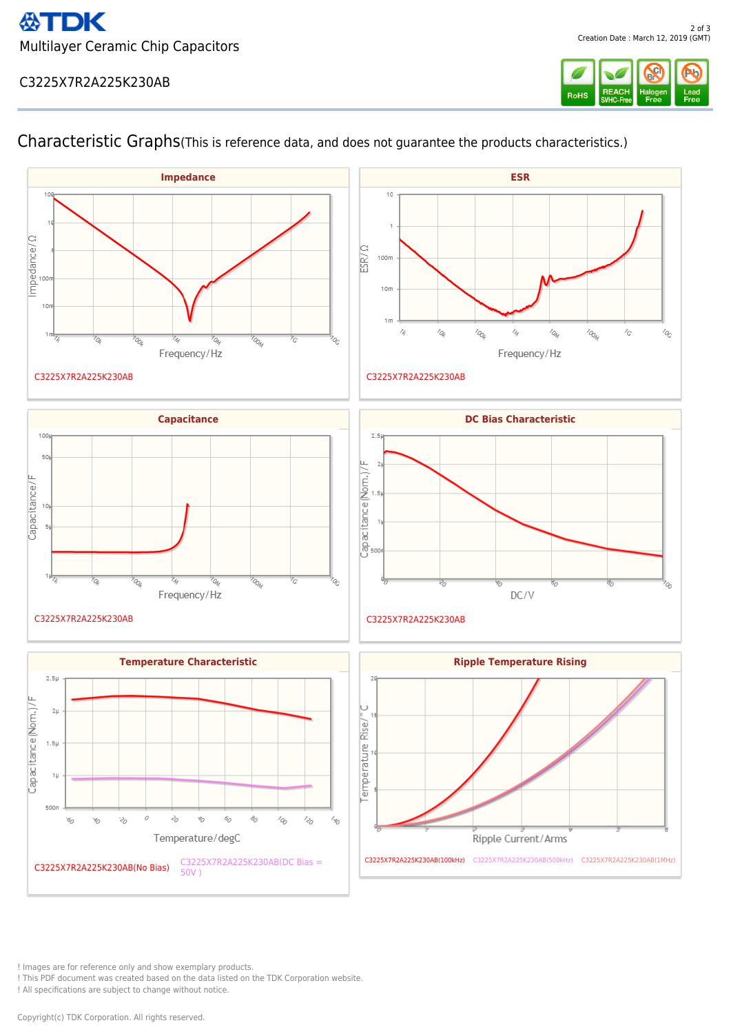# C3225X7R2A225K230AB



 $\overline{a}$ 



# Characteristic Graphs(This is reference data, and does not guarantee the products characteristics.)

! Images are for reference only and show exemplary products.

! This PDF document was created based on the data listed on the TDK Corporation website.

! All specifications are subject to change without notice.

Copyright(c) TDK Corporation. All rights reserved.